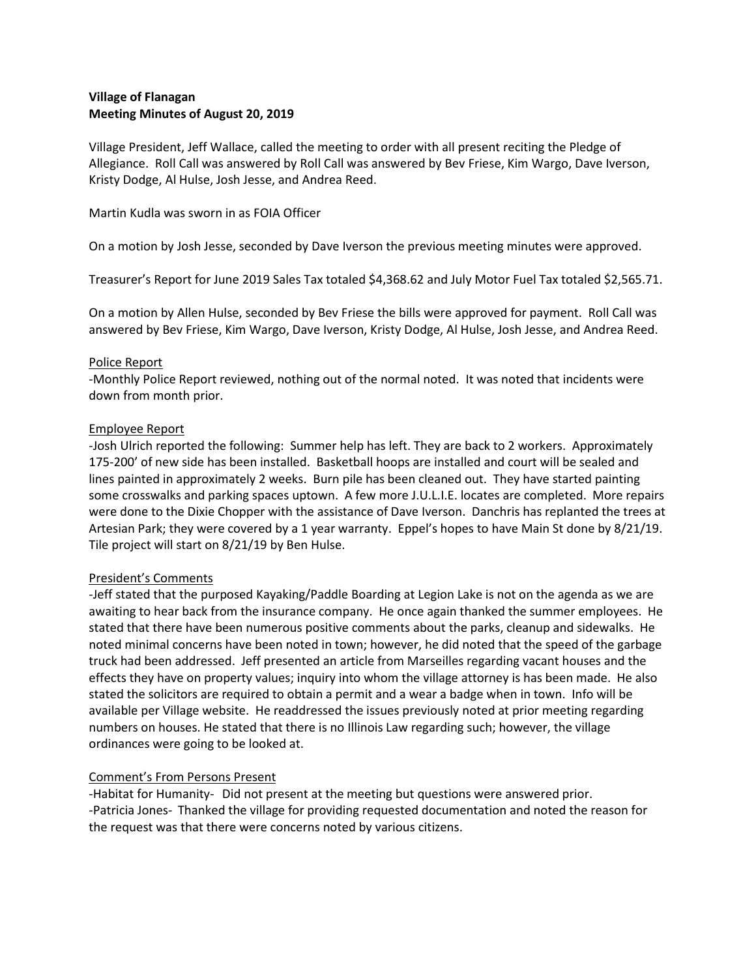# **Village of Flanagan Meeting Minutes of August 20, 2019**

Village President, Jeff Wallace, called the meeting to order with all present reciting the Pledge of Allegiance. Roll Call was answered by Roll Call was answered by Bev Friese, Kim Wargo, Dave Iverson, Kristy Dodge, Al Hulse, Josh Jesse, and Andrea Reed.

Martin Kudla was sworn in as FOIA Officer

On a motion by Josh Jesse, seconded by Dave Iverson the previous meeting minutes were approved.

Treasurer's Report for June 2019 Sales Tax totaled \$4,368.62 and July Motor Fuel Tax totaled \$2,565.71.

On a motion by Allen Hulse, seconded by Bev Friese the bills were approved for payment. Roll Call was answered by Bev Friese, Kim Wargo, Dave Iverson, Kristy Dodge, Al Hulse, Josh Jesse, and Andrea Reed.

#### Police Report

-Monthly Police Report reviewed, nothing out of the normal noted. It was noted that incidents were down from month prior.

#### Employee Report

-Josh Ulrich reported the following: Summer help has left. They are back to 2 workers. Approximately 175-200' of new side has been installed. Basketball hoops are installed and court will be sealed and lines painted in approximately 2 weeks. Burn pile has been cleaned out. They have started painting some crosswalks and parking spaces uptown. A few more J.U.L.I.E. locates are completed. More repairs were done to the Dixie Chopper with the assistance of Dave Iverson. Danchris has replanted the trees at Artesian Park; they were covered by a 1 year warranty. Eppel's hopes to have Main St done by 8/21/19. Tile project will start on 8/21/19 by Ben Hulse.

## President's Comments

-Jeff stated that the purposed Kayaking/Paddle Boarding at Legion Lake is not on the agenda as we are awaiting to hear back from the insurance company. He once again thanked the summer employees. He stated that there have been numerous positive comments about the parks, cleanup and sidewalks. He noted minimal concerns have been noted in town; however, he did noted that the speed of the garbage truck had been addressed. Jeff presented an article from Marseilles regarding vacant houses and the effects they have on property values; inquiry into whom the village attorney is has been made. He also stated the solicitors are required to obtain a permit and a wear a badge when in town. Info will be available per Village website. He readdressed the issues previously noted at prior meeting regarding numbers on houses. He stated that there is no Illinois Law regarding such; however, the village ordinances were going to be looked at.

## Comment's From Persons Present

-Habitat for Humanity- Did not present at the meeting but questions were answered prior. -Patricia Jones- Thanked the village for providing requested documentation and noted the reason for the request was that there were concerns noted by various citizens.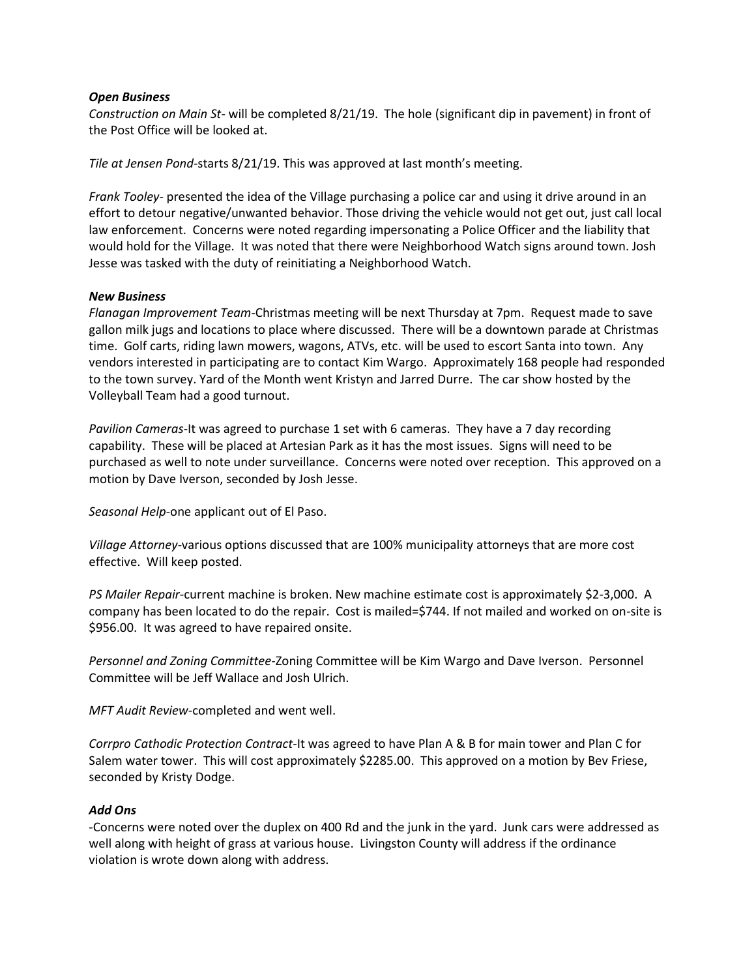### *Open Business*

*Construction on Main St-* will be completed 8/21/19. The hole (significant dip in pavement) in front of the Post Office will be looked at.

*Tile at Jensen Pond-*starts 8/21/19. This was approved at last month's meeting.

*Frank Tooley-* presented the idea of the Village purchasing a police car and using it drive around in an effort to detour negative/unwanted behavior. Those driving the vehicle would not get out, just call local law enforcement. Concerns were noted regarding impersonating a Police Officer and the liability that would hold for the Village. It was noted that there were Neighborhood Watch signs around town. Josh Jesse was tasked with the duty of reinitiating a Neighborhood Watch.

#### *New Business*

*Flanagan Improvement Team-*Christmas meeting will be next Thursday at 7pm. Request made to save gallon milk jugs and locations to place where discussed. There will be a downtown parade at Christmas time. Golf carts, riding lawn mowers, wagons, ATVs, etc. will be used to escort Santa into town. Any vendors interested in participating are to contact Kim Wargo. Approximately 168 people had responded to the town survey. Yard of the Month went Kristyn and Jarred Durre. The car show hosted by the Volleyball Team had a good turnout.

*Pavilion Cameras*-It was agreed to purchase 1 set with 6 cameras. They have a 7 day recording capability. These will be placed at Artesian Park as it has the most issues. Signs will need to be purchased as well to note under surveillance. Concerns were noted over reception. This approved on a motion by Dave Iverson, seconded by Josh Jesse.

*Seasonal Help*-one applicant out of El Paso.

*Village Attorney*-various options discussed that are 100% municipality attorneys that are more cost effective. Will keep posted.

*PS Mailer Repair-*current machine is broken. New machine estimate cost is approximately \$2-3,000. A company has been located to do the repair. Cost is mailed=\$744. If not mailed and worked on on-site is \$956.00. It was agreed to have repaired onsite.

*Personnel and Zoning Committee-*Zoning Committee will be Kim Wargo and Dave Iverson. Personnel Committee will be Jeff Wallace and Josh Ulrich.

*MFT Audit Review*-completed and went well.

*Corrpro Cathodic Protection Contract-*It was agreed to have Plan A & B for main tower and Plan C for Salem water tower. This will cost approximately \$2285.00. This approved on a motion by Bev Friese, seconded by Kristy Dodge.

## *Add Ons*

-Concerns were noted over the duplex on 400 Rd and the junk in the yard. Junk cars were addressed as well along with height of grass at various house. Livingston County will address if the ordinance violation is wrote down along with address.